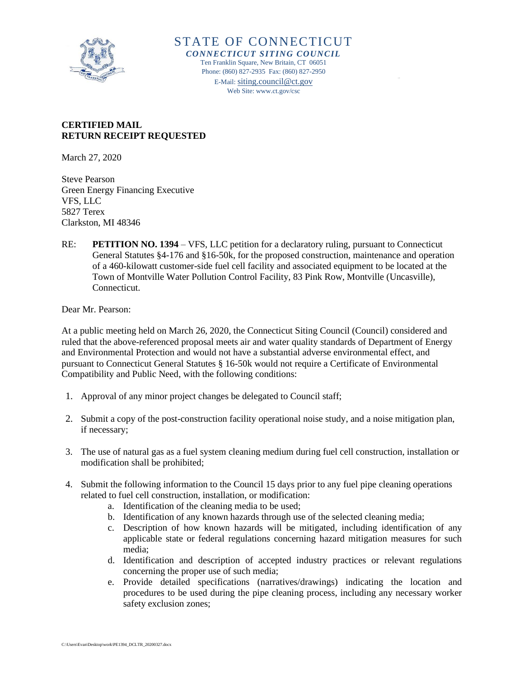

STATE OF CONNECTICUT *CONNECTICUT SITING COUNCIL* Ten Franklin Square, New Britain, CT 06051 Phone: (860) 827-2935 Fax: (860) 827-2950 E-Mail: [siting.council@ct.gov](mailto:siting.council@ct.gov) Web Site: www.ct.gov/csc

#### **CERTIFIED MAIL RETURN RECEIPT REQUESTED**

March 27, 2020

Steve Pearson Green Energy Financing Executive VFS, LLC 5827 Terex Clarkston, MI 48346

RE: **PETITION NO. 1394** – VFS, LLC petition for a declaratory ruling, pursuant to Connecticut General Statutes §4-176 and §16-50k, for the proposed construction, maintenance and operation of a 460-kilowatt customer-side fuel cell facility and associated equipment to be located at the Town of Montville Water Pollution Control Facility, 83 Pink Row, Montville (Uncasville), Connecticut.

Dear Mr. Pearson:

At a public meeting held on March 26, 2020, the Connecticut Siting Council (Council) considered and ruled that the above-referenced proposal meets air and water quality standards of Department of Energy and Environmental Protection and would not have a substantial adverse environmental effect, and pursuant to Connecticut General Statutes § 16-50k would not require a Certificate of Environmental Compatibility and Public Need, with the following conditions:

- 1. Approval of any minor project changes be delegated to Council staff;
- 2. Submit a copy of the post-construction facility operational noise study, and a noise mitigation plan, if necessary;
- 3. The use of natural gas as a fuel system cleaning medium during fuel cell construction, installation or modification shall be prohibited;
- 4. Submit the following information to the Council 15 days prior to any fuel pipe cleaning operations related to fuel cell construction, installation, or modification:
	- a. Identification of the cleaning media to be used;
	- b. Identification of any known hazards through use of the selected cleaning media;
	- c. Description of how known hazards will be mitigated, including identification of any applicable state or federal regulations concerning hazard mitigation measures for such media;
	- d. Identification and description of accepted industry practices or relevant regulations concerning the proper use of such media;
	- e. Provide detailed specifications (narratives/drawings) indicating the location and procedures to be used during the pipe cleaning process, including any necessary worker safety exclusion zones;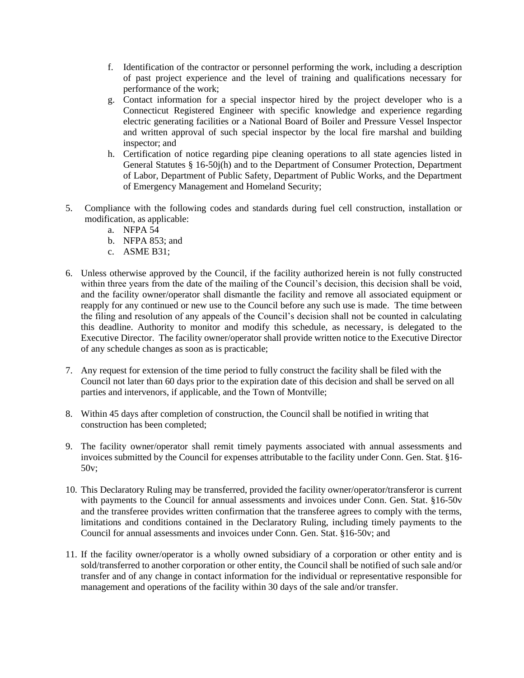- f. Identification of the contractor or personnel performing the work, including a description of past project experience and the level of training and qualifications necessary for performance of the work;
- g. Contact information for a special inspector hired by the project developer who is a Connecticut Registered Engineer with specific knowledge and experience regarding electric generating facilities or a National Board of Boiler and Pressure Vessel Inspector and written approval of such special inspector by the local fire marshal and building inspector; and
- h. Certification of notice regarding pipe cleaning operations to all state agencies listed in General Statutes § 16-50j(h) and to the Department of Consumer Protection, Department of Labor, Department of Public Safety, Department of Public Works, and the Department of Emergency Management and Homeland Security;
- 5. Compliance with the following codes and standards during fuel cell construction, installation or modification, as applicable:
	- a. NFPA 54
	- b. NFPA 853; and
	- c. ASME B31;
- 6. Unless otherwise approved by the Council, if the facility authorized herein is not fully constructed within three years from the date of the mailing of the Council's decision, this decision shall be void, and the facility owner/operator shall dismantle the facility and remove all associated equipment or reapply for any continued or new use to the Council before any such use is made. The time between the filing and resolution of any appeals of the Council's decision shall not be counted in calculating this deadline. Authority to monitor and modify this schedule, as necessary, is delegated to the Executive Director. The facility owner/operator shall provide written notice to the Executive Director of any schedule changes as soon as is practicable;
- 7. Any request for extension of the time period to fully construct the facility shall be filed with the Council not later than 60 days prior to the expiration date of this decision and shall be served on all parties and intervenors, if applicable, and the Town of Montville;
- 8. Within 45 days after completion of construction, the Council shall be notified in writing that construction has been completed;
- 9. The facility owner/operator shall remit timely payments associated with annual assessments and invoices submitted by the Council for expenses attributable to the facility under Conn. Gen. Stat. §16- 50v;
- 10. This Declaratory Ruling may be transferred, provided the facility owner/operator/transferor is current with payments to the Council for annual assessments and invoices under Conn. Gen. Stat. §16-50v and the transferee provides written confirmation that the transferee agrees to comply with the terms, limitations and conditions contained in the Declaratory Ruling, including timely payments to the Council for annual assessments and invoices under Conn. Gen. Stat. §16-50v; and
- 11. If the facility owner/operator is a wholly owned subsidiary of a corporation or other entity and is sold/transferred to another corporation or other entity, the Council shall be notified of such sale and/or transfer and of any change in contact information for the individual or representative responsible for management and operations of the facility within 30 days of the sale and/or transfer.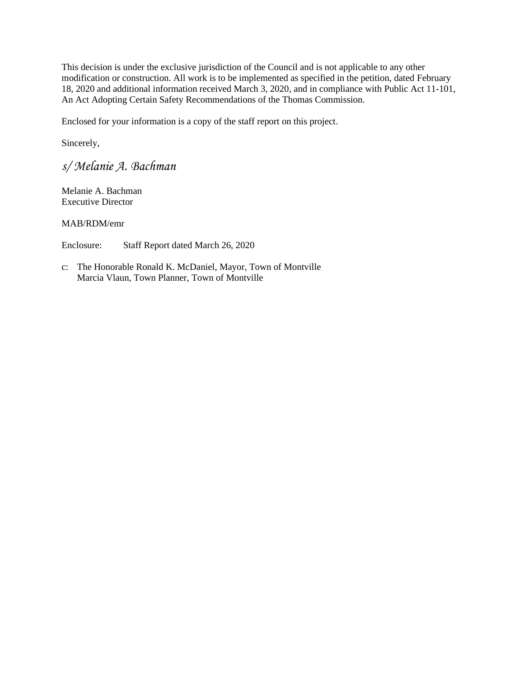This decision is under the exclusive jurisdiction of the Council and is not applicable to any other modification or construction. All work is to be implemented as specified in the petition, dated February 18, 2020 and additional information received March 3, 2020, and in compliance with Public Act 11-101, An Act Adopting Certain Safety Recommendations of the Thomas Commission.

Enclosed for your information is a copy of the staff report on this project.

Sincerely,

*s/ Melanie A. Bachman*

Melanie A. Bachman Executive Director

MAB/RDM/emr

Enclosure: Staff Report dated March 26, 2020

c: The Honorable Ronald K. McDaniel, Mayor, Town of Montville Marcia Vlaun, Town Planner, Town of Montville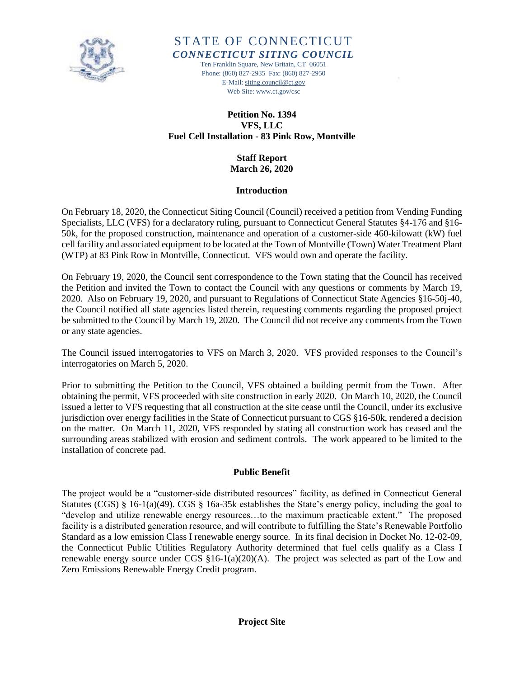

# STATE OF CONNECTICUT *CONNECTICUT SITING COUNCIL*

Ten Franklin Square, New Britain, CT 06051 Phone: (860) 827-2935 Fax: (860) 827-2950 E-Mail[: siting.council@ct.gov](mailto:siting.council@ct.gov) Web Site: www.ct.gov/csc

## **Petition No. 1394 VFS, LLC Fuel Cell Installation - 83 Pink Row, Montville**

**Staff Report March 26, 2020**

#### **Introduction**

On February 18, 2020, the Connecticut Siting Council (Council) received a petition from Vending Funding Specialists, LLC (VFS) for a declaratory ruling, pursuant to Connecticut General Statutes §4-176 and §16- 50k, for the proposed construction, maintenance and operation of a customer-side 460-kilowatt (kW) fuel cell facility and associated equipment to be located at the Town of Montville (Town) Water Treatment Plant (WTP) at 83 Pink Row in Montville, Connecticut. VFS would own and operate the facility.

On February 19, 2020, the Council sent correspondence to the Town stating that the Council has received the Petition and invited the Town to contact the Council with any questions or comments by March 19, 2020. Also on February 19, 2020, and pursuant to Regulations of Connecticut State Agencies §16-50j-40, the Council notified all state agencies listed therein, requesting comments regarding the proposed project be submitted to the Council by March 19, 2020. The Council did not receive any comments from the Town or any state agencies.

The Council issued interrogatories to VFS on March 3, 2020. VFS provided responses to the Council's interrogatories on March 5, 2020.

Prior to submitting the Petition to the Council, VFS obtained a building permit from the Town. After obtaining the permit, VFS proceeded with site construction in early 2020. On March 10, 2020, the Council issued a letter to VFS requesting that all construction at the site cease until the Council, under its exclusive jurisdiction over energy facilities in the State of Connecticut pursuant to CGS §16-50k, rendered a decision on the matter. On March 11, 2020, VFS responded by stating all construction work has ceased and the surrounding areas stabilized with erosion and sediment controls. The work appeared to be limited to the installation of concrete pad.

#### **Public Benefit**

The project would be a "customer-side distributed resources" facility, as defined in Connecticut General Statutes (CGS) § 16-1(a)(49). CGS § 16a-35k establishes the State's energy policy, including the goal to "develop and utilize renewable energy resources…to the maximum practicable extent." The proposed facility is a distributed generation resource, and will contribute to fulfilling the State's Renewable Portfolio Standard as a low emission Class I renewable energy source. In its final decision in Docket No. 12-02-09, the Connecticut Public Utilities Regulatory Authority determined that fuel cells qualify as a Class I renewable energy source under CGS §16-1(a)(20)(A). The project was selected as part of the Low and Zero Emissions Renewable Energy Credit program.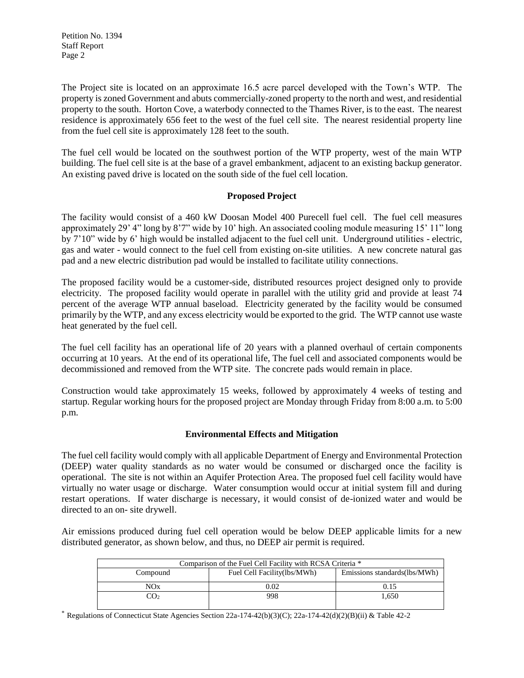The Project site is located on an approximate 16.5 acre parcel developed with the Town's WTP. The property is zoned Government and abuts commercially-zoned property to the north and west, and residential property to the south. Horton Cove, a waterbody connected to the Thames River, is to the east. The nearest residence is approximately 656 feet to the west of the fuel cell site. The nearest residential property line from the fuel cell site is approximately 128 feet to the south.

The fuel cell would be located on the southwest portion of the WTP property, west of the main WTP building. The fuel cell site is at the base of a gravel embankment, adjacent to an existing backup generator. An existing paved drive is located on the south side of the fuel cell location.

#### **Proposed Project**

The facility would consist of a 460 kW Doosan Model 400 Purecell fuel cell. The fuel cell measures approximately 29' 4" long by 8'7" wide by 10' high. An associated cooling module measuring 15' 11" long by 7'10" wide by 6' high would be installed adjacent to the fuel cell unit. Underground utilities - electric, gas and water - would connect to the fuel cell from existing on-site utilities. A new concrete natural gas pad and a new electric distribution pad would be installed to facilitate utility connections.

The proposed facility would be a customer-side, distributed resources project designed only to provide electricity. The proposed facility would operate in parallel with the utility grid and provide at least 74 percent of the average WTP annual baseload. Electricity generated by the facility would be consumed primarily by the WTP, and any excess electricity would be exported to the grid. The WTP cannot use waste heat generated by the fuel cell.

The fuel cell facility has an operational life of 20 years with a planned overhaul of certain components occurring at 10 years. At the end of its operational life, The fuel cell and associated components would be decommissioned and removed from the WTP site. The concrete pads would remain in place.

Construction would take approximately 15 weeks, followed by approximately 4 weeks of testing and startup. Regular working hours for the proposed project are Monday through Friday from 8:00 a.m. to 5:00 p.m.

#### **Environmental Effects and Mitigation**

The fuel cell facility would comply with all applicable Department of Energy and Environmental Protection (DEEP) water quality standards as no water would be consumed or discharged once the facility is operational. The site is not within an Aquifer Protection Area. The proposed fuel cell facility would have virtually no water usage or discharge. Water consumption would occur at initial system fill and during restart operations. If water discharge is necessary, it would consist of de-ionized water and would be directed to an on- site drywell.

Air emissions produced during fuel cell operation would be below DEEP applicable limits for a new distributed generator, as shown below, and thus, no DEEP air permit is required.

| Comparison of the Fuel Cell Facility with RCSA Criteria * |                             |                              |
|-----------------------------------------------------------|-----------------------------|------------------------------|
| Compound                                                  | Fuel Cell Facility(lbs/MWh) | Emissions standards(lbs/MWh) |
| NOx                                                       | 0.02                        |                              |
| JO2                                                       | 998                         | 1.650                        |

\* Regulations of Connecticut State Agencies Section 22a-174-42(b)(3)(C); 22a-174-42(d)(2)(B)(ii) & Table 42-2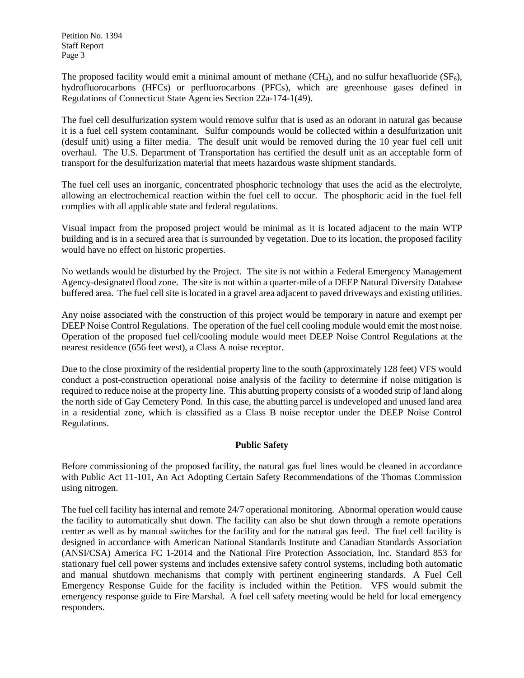The proposed facility would emit a minimal amount of methane  $(CH_4)$ , and no sulfur hexafluoride  $(SF_6)$ , hydrofluorocarbons (HFCs) or perfluorocarbons (PFCs), which are greenhouse gases defined in Regulations of Connecticut State Agencies Section 22a-174-1(49).

The fuel cell desulfurization system would remove sulfur that is used as an odorant in natural gas because it is a fuel cell system contaminant. Sulfur compounds would be collected within a desulfurization unit (desulf unit) using a filter media. The desulf unit would be removed during the 10 year fuel cell unit overhaul. The U.S. Department of Transportation has certified the desulf unit as an acceptable form of transport for the desulfurization material that meets hazardous waste shipment standards.

The fuel cell uses an inorganic, concentrated phosphoric technology that uses the acid as the electrolyte, allowing an electrochemical reaction within the fuel cell to occur. The phosphoric acid in the fuel fell complies with all applicable state and federal regulations.

Visual impact from the proposed project would be minimal as it is located adjacent to the main WTP building and is in a secured area that is surrounded by vegetation. Due to its location, the proposed facility would have no effect on historic properties.

No wetlands would be disturbed by the Project. The site is not within a Federal Emergency Management Agency-designated flood zone. The site is not within a quarter-mile of a DEEP Natural Diversity Database buffered area. The fuel cell site is located in a gravel area adjacent to paved driveways and existing utilities.

Any noise associated with the construction of this project would be temporary in nature and exempt per DEEP Noise Control Regulations. The operation of the fuel cell cooling module would emit the most noise. Operation of the proposed fuel cell/cooling module would meet DEEP Noise Control Regulations at the nearest residence (656 feet west), a Class A noise receptor.

Due to the close proximity of the residential property line to the south (approximately 128 feet) VFS would conduct a post-construction operational noise analysis of the facility to determine if noise mitigation is required to reduce noise at the property line. This abutting property consists of a wooded strip of land along the north side of Gay Cemetery Pond. In this case, the abutting parcel is undeveloped and unused land area in a residential zone, which is classified as a Class B noise receptor under the DEEP Noise Control Regulations.

### **Public Safety**

Before commissioning of the proposed facility, the natural gas fuel lines would be cleaned in accordance with Public Act 11-101, An Act Adopting Certain Safety Recommendations of the Thomas Commission using nitrogen.

The fuel cell facility has internal and remote 24/7 operational monitoring. Abnormal operation would cause the facility to automatically shut down. The facility can also be shut down through a remote operations center as well as by manual switches for the facility and for the natural gas feed. The fuel cell facility is designed in accordance with American National Standards Institute and Canadian Standards Association (ANSI/CSA) America FC 1-2014 and the National Fire Protection Association, Inc. Standard 853 for stationary fuel cell power systems and includes extensive safety control systems, including both automatic and manual shutdown mechanisms that comply with pertinent engineering standards. A Fuel Cell Emergency Response Guide for the facility is included within the Petition. VFS would submit the emergency response guide to Fire Marshal. A fuel cell safety meeting would be held for local emergency responders.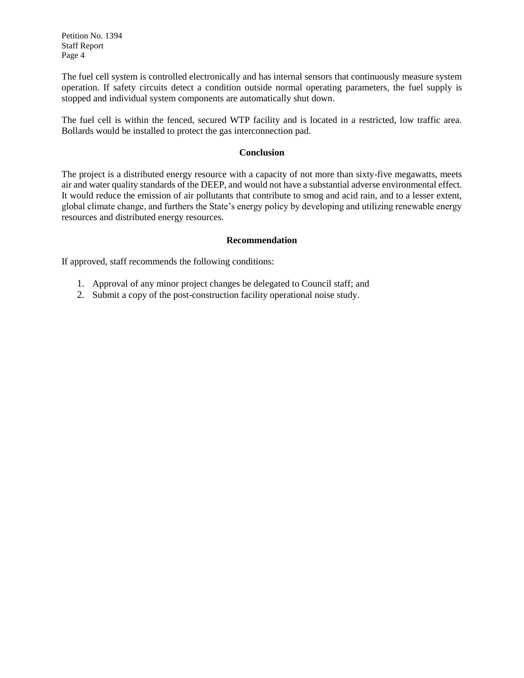The fuel cell system is controlled electronically and has internal sensors that continuously measure system operation. If safety circuits detect a condition outside normal operating parameters, the fuel supply is stopped and individual system components are automatically shut down.

The fuel cell is within the fenced, secured WTP facility and is located in a restricted, low traffic area. Bollards would be installed to protect the gas interconnection pad.

#### **Conclusion**

The project is a distributed energy resource with a capacity of not more than sixty-five megawatts, meets air and water quality standards of the DEEP, and would not have a substantial adverse environmental effect. It would reduce the emission of air pollutants that contribute to smog and acid rain, and to a lesser extent, global climate change, and furthers the State's energy policy by developing and utilizing renewable energy resources and distributed energy resources.

#### **Recommendation**

If approved, staff recommends the following conditions:

- 1. Approval of any minor project changes be delegated to Council staff; and
- 2. Submit a copy of the post-construction facility operational noise study.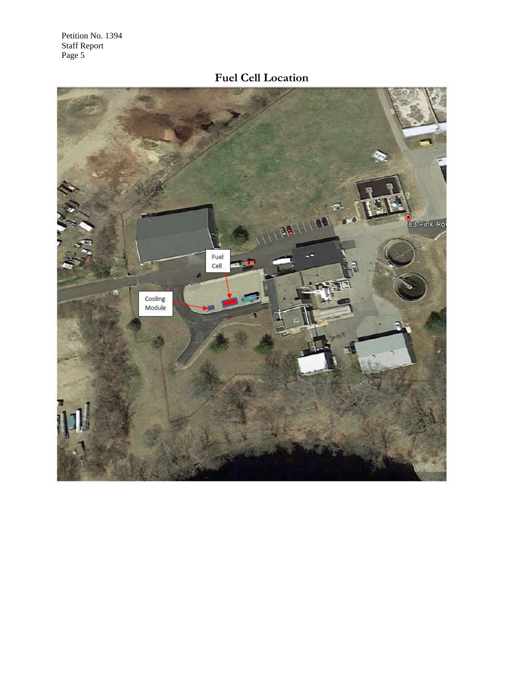# **Fuel Cell Location**